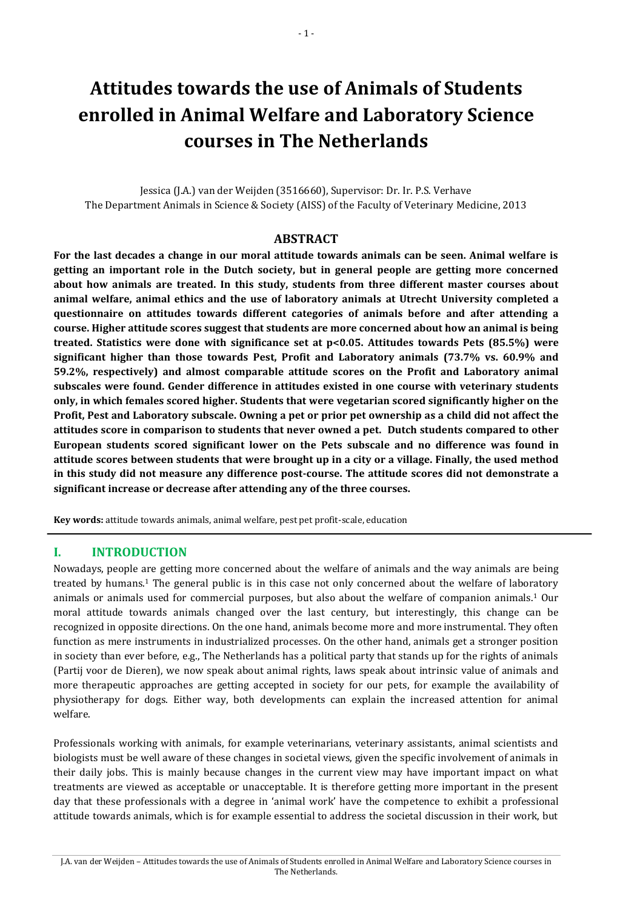# **Attitudes towards the use of Animals of Students enrolled in Animal Welfare and Laboratory Science courses in The Netherlands**

Jessica (J.A.) van der Weijden (3516660), Supervisor: Dr. Ir. P.S. Verhave The Department Animals in Science & Society (AISS) of the Faculty of Veterinary Medicine, 2013

#### **ABSTRACT**

**For the last decades a change in our moral attitude towards animals can be seen. Animal welfare is getting an important role in the Dutch society, but in general people are getting more concerned about how animals are treated. In this study, students from three different master courses about animal welfare, animal ethics and the use of laboratory animals at Utrecht University completed a questionnaire on attitudes towards different categories of animals before and after attending a course. Higher attitude scores suggest that students are more concerned about how an animal is being treated. Statistics were done with significance set at p<0.05. Attitudes towards Pets (85.5%) were significant higher than those towards Pest, Profit and Laboratory animals (73.7% vs. 60.9% and 59.2%, respectively) and almost comparable attitude scores on the Profit and Laboratory animal subscales were found. Gender difference in attitudes existed in one course with veterinary students only, in which females scored higher. Students that were vegetarian scored significantly higher on the Profit, Pest and Laboratory subscale. Owning a pet or prior pet ownership as a child did not affect the attitudes score in comparison to students that never owned a pet. Dutch students compared to other European students scored significant lower on the Pets subscale and no difference was found in attitude scores between students that were brought up in a city or a village. Finally, the used method in this study did not measure any difference post-course. The attitude scores did not demonstrate a significant increase or decrease after attending any of the three courses.**

**Key words:** attitude towards animals, animal welfare, pest pet profit-scale, education

#### **I. INTRODUCTION**

Nowadays, people are getting more concerned about the welfare of animals and the way animals are being treated by humans. <sup>1</sup> The general public is in this case not only concerned about the welfare of laboratory animals or animals used for commercial purposes, but also about the welfare of companion animals. <sup>1</sup> Our moral attitude towards animals changed over the last century, but interestingly, this change can be recognized in opposite directions. On the one hand, animals become more and more instrumental. They often function as mere instruments in industrialized processes. On the other hand, animals get a stronger position in society than ever before, e.g., The Netherlands has a political party that stands up for the rights of animals (Partij voor de Dieren), we now speak about animal rights, laws speak about intrinsic value of animals and more therapeutic approaches are getting accepted in society for our pets, for example the availability of physiotherapy for dogs. Either way, both developments can explain the increased attention for animal welfare.

Professionals working with animals, for example veterinarians, veterinary assistants, animal scientists and biologists must be well aware of these changes in societal views, given the specific involvement of animals in their daily jobs. This is mainly because changes in the current view may have important impact on what treatments are viewed as acceptable or unacceptable. It is therefore getting more important in the present day that these professionals with a degree in 'animal work' have the competence to exhibit a professional attitude towards animals, which is for example essential to address the societal discussion in their work, but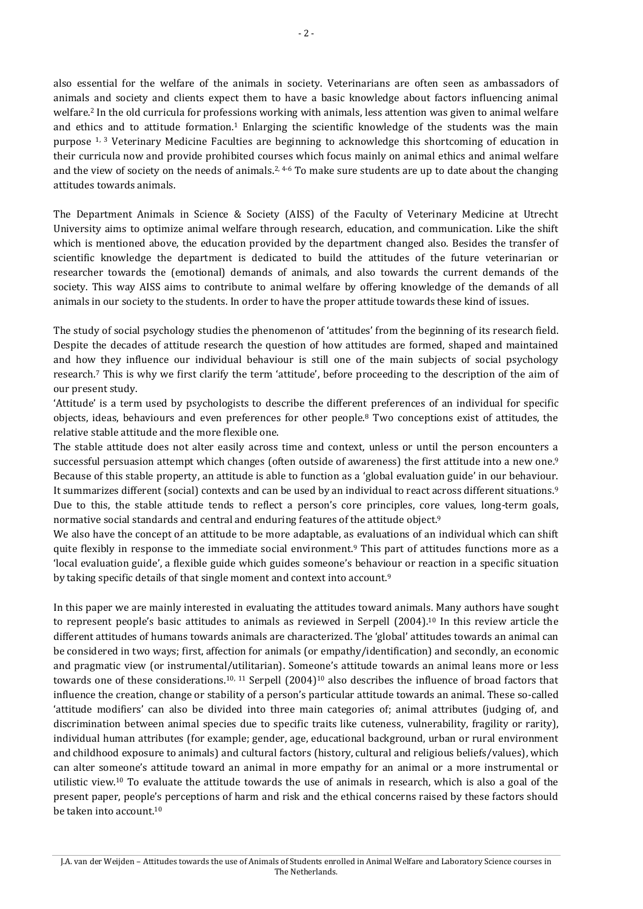also essential for the welfare of the animals in society. Veterinarians are often seen as ambassadors of animals and society and clients expect them to have a basic knowledge about factors influencing animal welfare.<sup>2</sup> In the old curricula for professions working with animals, less attention was given to animal welfare and ethics and to attitude formation. <sup>1</sup> Enlarging the scientific knowledge of the students was the main purpose 1, 3 Veterinary Medicine Faculties are beginning to acknowledge this shortcoming of education in their curricula now and provide prohibited courses which focus mainly on animal ethics and animal welfare and the view of society on the needs of animals.<sup>2, 4-6</sup> To make sure students are up to date about the changing attitudes towards animals.

The Department Animals in Science & Society (AISS) of the Faculty of Veterinary Medicine at Utrecht University aims to optimize animal welfare through research, education, and communication. Like the shift which is mentioned above, the education provided by the department changed also. Besides the transfer of scientific knowledge the department is dedicated to build the attitudes of the future veterinarian or researcher towards the (emotional) demands of animals, and also towards the current demands of the society. This way AISS aims to contribute to animal welfare by offering knowledge of the demands of all animals in our society to the students. In order to have the proper attitude towards these kind of issues.

The study of social psychology studies the phenomenon of 'attitudes' from the beginning of its research field. Despite the decades of attitude research the question of how attitudes are formed, shaped and maintained and how they influence our individual behaviour is still one of the main subjects of social psychology research. <sup>7</sup> This is why we first clarify the term 'attitude', before proceeding to the description of the aim of our present study.

'Attitude' is a term used by psychologists to describe the different preferences of an individual for specific objects, ideas, behaviours and even preferences for other people.<sup>8</sup> Two conceptions exist of attitudes, the relative stable attitude and the more flexible one.

The stable attitude does not alter easily across time and context, unless or until the person encounters a successful persuasion attempt which changes (often outside of awareness) the first attitude into a new one.<sup>9</sup> Because of this stable property, an attitude is able to function as a 'global evaluation guide' in our behaviour. It summarizes different (social) contexts and can be used by an individual to react across different situations.<sup>9</sup> Due to this, the stable attitude tends to reflect a person's core principles, core values, long-term goals, normative social standards and central and enduring features of the attitude object.<sup>9</sup>

We also have the concept of an attitude to be more adaptable, as evaluations of an individual which can shift quite flexibly in response to the immediate social environment.<sup>9</sup> This part of attitudes functions more as a 'local evaluation guide', a flexible guide which guides someone's behaviour or reaction in a specific situation by taking specific details of that single moment and context into account.<sup>9</sup>

In this paper we are mainly interested in evaluating the attitudes toward animals. Many authors have sought to represent people's basic attitudes to animals as reviewed in Serpell (2004). <sup>10</sup> In this review article the different attitudes of humans towards animals are characterized. The 'global' attitudes towards an animal can be considered in two ways; first, affection for animals (or empathy/identification) and secondly, an economic and pragmatic view (or instrumental/utilitarian). Someone's attitude towards an animal leans more or less towards one of these considerations.<sup>10, 11</sup> Serpell (2004)<sup>10</sup> also describes the influence of broad factors that influence the creation, change or stability of a person's particular attitude towards an animal. These so-called 'attitude modifiers' can also be divided into three main categories of; animal attributes (judging of, and discrimination between animal species due to specific traits like cuteness, vulnerability, fragility or rarity), individual human attributes (for example; gender, age, educational background, urban or rural environment and childhood exposure to animals) and cultural factors (history, cultural and religious beliefs/values), which can alter someone's attitude toward an animal in more empathy for an animal or a more instrumental or utilistic view.<sup>10</sup> To evaluate the attitude towards the use of animals in research, which is also a goal of the present paper, people's perceptions of harm and risk and the ethical concerns raised by these factors should be taken into account.10

J.A. van der Weijden – Attitudes towards the use of Animals of Students enrolled in Animal Welfare and Laboratory Science courses in The Netherlands.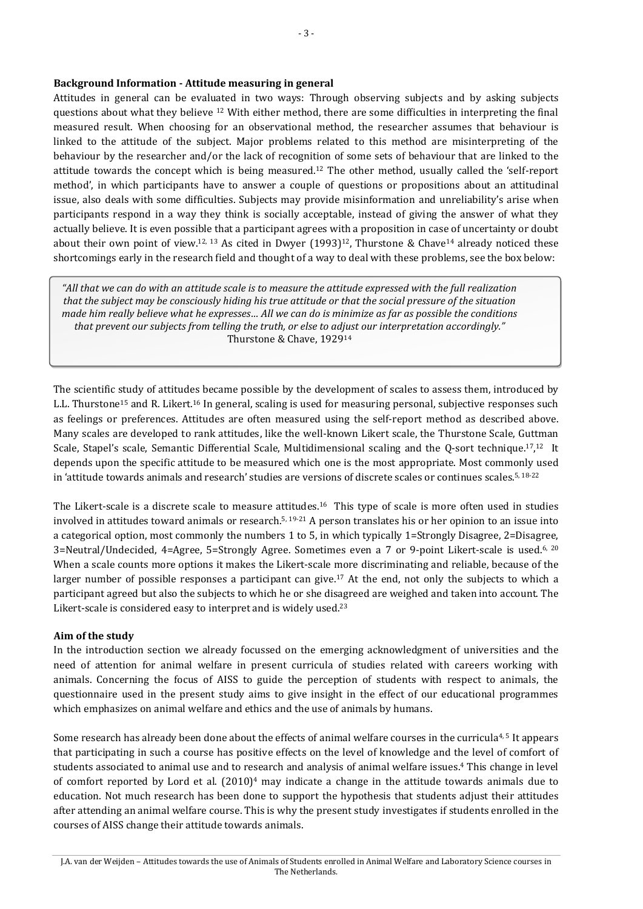#### **Background Information - Attitude measuring in general**

Attitudes in general can be evaluated in two ways: Through observing subjects and by asking subjects questions about what they believe <sup>12</sup> With either method, there are some difficulties in interpreting the final measured result. When choosing for an observational method, the researcher assumes that behaviour is linked to the attitude of the subject. Major problems related to this method are misinterpreting of the behaviour by the researcher and/or the lack of recognition of some sets of behaviour that are linked to the attitude towards the concept which is being measured.<sup>12</sup> The other method, usually called the 'self-report method', in which participants have to answer a couple of questions or propositions about an attitudinal issue, also deals with some difficulties. Subjects may provide misinformation and unreliability's arise when participants respond in a way they think is socially acceptable, instead of giving the answer of what they actually believe. It is even possible that a participant agrees with a proposition in case of uncertainty or doubt about their own point of view.<sup>12, 13</sup> As cited in Dwyer  $(1993)^{12}$ , Thurstone & Chave<sup>14</sup> already noticed these shortcomings early in the research field and thought of a way to deal with these problems, see the box below:

*"All that we can do with an attitude scale is to measure the attitude expressed with the full realization that the subject may be consciously hiding his true attitude or that the social pressure of the situation made him really believe what he expresses… All we can do is minimize as far as possible the conditions that prevent our subjects from telling the truth, or else to adjust our interpretation accordingly."* Thurstone & Chave, 192914

The scientific study of attitudes became possible by the development of scales to assess them, introduced by L.L. Thurstone<sup>15</sup> and R. Likert.<sup>16</sup> In general, scaling is used for measuring personal, subjective responses such as feelings or preferences. Attitudes are often measured using the self-report method as described above. Many scales are developed to rank attitudes, like the well-known Likert scale, the Thurstone Scale, Guttman Scale, Stapel's scale, Semantic Differential Scale, Multidimensional scaling and the Q-sort technique.<sup>17</sup>,<sup>12</sup> It depends upon the specific attitude to be measured which one is the most appropriate. Most commonly used in 'attitude towards animals and research' studies are versions of discrete scales or continues scales. $^{5,18-22}$ 

The Likert-scale is a discrete scale to measure attitudes.<sup>16</sup> This type of scale is more often used in studies involved in attitudes toward animals or research. 5, 19-21 A person translates his or her opinion to an issue into a categorical option, most commonly the numbers 1 to 5, in which typically 1=Strongly Disagree, 2=Disagree, 3=Neutral/Undecided, 4=Agree, 5=Strongly Agree. Sometimes even a 7 or 9-point Likert-scale is used.6, 20 When a scale counts more options it makes the Likert-scale more discriminating and reliable, because of the larger number of possible responses a participant can give.<sup>17</sup> At the end, not only the subjects to which a participant agreed but also the subjects to which he or she disagreed are weighed and taken into account. The Likert-scale is considered easy to interpret and is widely used.<sup>23</sup>

#### **Aim of the study**

In the introduction section we already focussed on the emerging acknowledgment of universities and the need of attention for animal welfare in present curricula of studies related with careers working with animals. Concerning the focus of AISS to guide the perception of students with respect to animals, the questionnaire used in the present study aims to give insight in the effect of our educational programmes which emphasizes on animal welfare and ethics and the use of animals by humans.

Some research has already been done about the effects of animal welfare courses in the curricula<sup>4,5</sup> It appears that participating in such a course has positive effects on the level of knowledge and the level of comfort of students associated to animal use and to research and analysis of animal welfare issues.<sup>4</sup> This change in level of comfort reported by Lord et al. (2010) <sup>4</sup> may indicate a change in the attitude towards animals due to education. Not much research has been done to support the hypothesis that students adjust their attitudes after attending an animal welfare course. This is why the present study investigates if students enrolled in the courses of AISS change their attitude towards animals.

J.A. van der Weijden – Attitudes towards the use of Animals of Students enrolled in Animal Welfare and Laboratory Science courses in The Netherlands.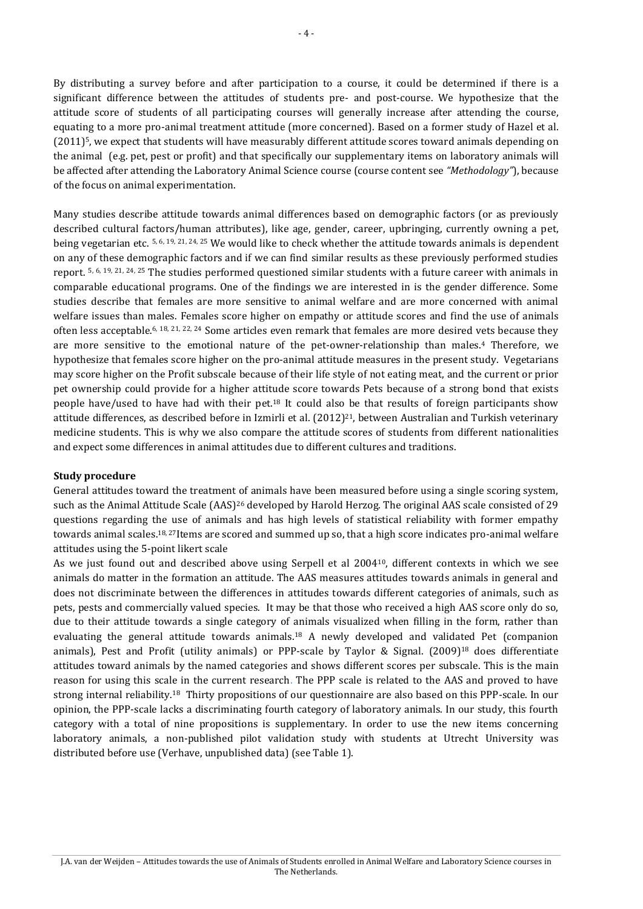By distributing a survey before and after participation to a course, it could be determined if there is a significant difference between the attitudes of students pre- and post-course. We hypothesize that the attitude score of students of all participating courses will generally increase after attending the course, equating to a more pro-animal treatment attitude (more concerned). Based on a former study of Hazel et al. (2011) <sup>5</sup>, we expect that students will have measurably different attitude scores toward animals depending on the animal (e.g. pet, pest or profit) and that specifically our supplementary items on laboratory animals will be affected after attending the Laboratory Animal Science course (course content see *"Methodology"*), because of the focus on animal experimentation.

Many studies describe attitude towards animal differences based on demographic factors (or as previously described cultural factors/human attributes), like age, gender, career, upbringing, currently owning a pet, being vegetarian etc. 5, 6, 19, 21, 24, 25 We would like to check whether the attitude towards animals is dependent on any of these demographic factors and if we can find similar results as these previously performed studies report. 5, 6, 19, 21, 24, 25 The studies performed questioned similar students with a future career with animals in comparable educational programs. One of the findings we are interested in is the gender difference. Some studies describe that females are more sensitive to animal welfare and are more concerned with animal welfare issues than males. Females score higher on empathy or attitude scores and find the use of animals often less acceptable.<sup>6, 18, 21, 22, 24</sup> Some articles even remark that females are more desired vets because they are more sensitive to the emotional nature of the pet-owner-relationship than males. <sup>4</sup> Therefore, we hypothesize that females score higher on the pro-animal attitude measures in the present study. Vegetarians may score higher on the Profit subscale because of their life style of not eating meat, and the current or prior pet ownership could provide for a higher attitude score towards Pets because of a strong bond that exists people have/used to have had with their pet.<sup>18</sup> It could also be that results of foreign participants show attitude differences, as described before in Izmirli et al. (2012) <sup>21</sup>, between Australian and Turkish veterinary medicine students. This is why we also compare the attitude scores of students from different nationalities and expect some differences in animal attitudes due to different cultures and traditions.

#### **Study procedure**

General attitudes toward the treatment of animals have been measured before using a single scoring system, such as the Animal Attitude Scale (AAS)<sup>26</sup> developed by Harold Herzog. The original AAS scale consisted of 29 questions regarding the use of animals and has high levels of statistical reliability with former empathy towards animal scales.<sup>18, 27</sup>Items are scored and summed up so, that a high score indicates pro-animal welfare attitudes using the 5-point likert scale

As we just found out and described above using Serpell et al 200410, different contexts in which we see animals do matter in the formation an attitude. The AAS measures attitudes towards animals in general and does not discriminate between the differences in attitudes towards different categories of animals, such as pets, pests and commercially valued species. It may be that those who received a high AAS score only do so, due to their attitude towards a single category of animals visualized when filling in the form, rather than evaluating the general attitude towards animals.<sup>18</sup> A newly developed and validated Pet (companion animals), Pest and Profit (utility animals) or PPP-scale by Taylor & Signal. (2009)<sup>18</sup> does differentiate attitudes toward animals by the named categories and shows different scores per subscale. This is the main reason for using this scale in the current research. The PPP scale is related to the AAS and proved to have strong internal reliability.<sup>18</sup> Thirty propositions of our questionnaire are also based on this PPP-scale. In our opinion, the PPP-scale lacks a discriminating fourth category of laboratory animals. In our study, this fourth category with a total of nine propositions is supplementary. In order to use the new items concerning laboratory animals, a non-published pilot validation study with students at Utrecht University was distributed before use (Verhave, unpublished data) (see Table 1).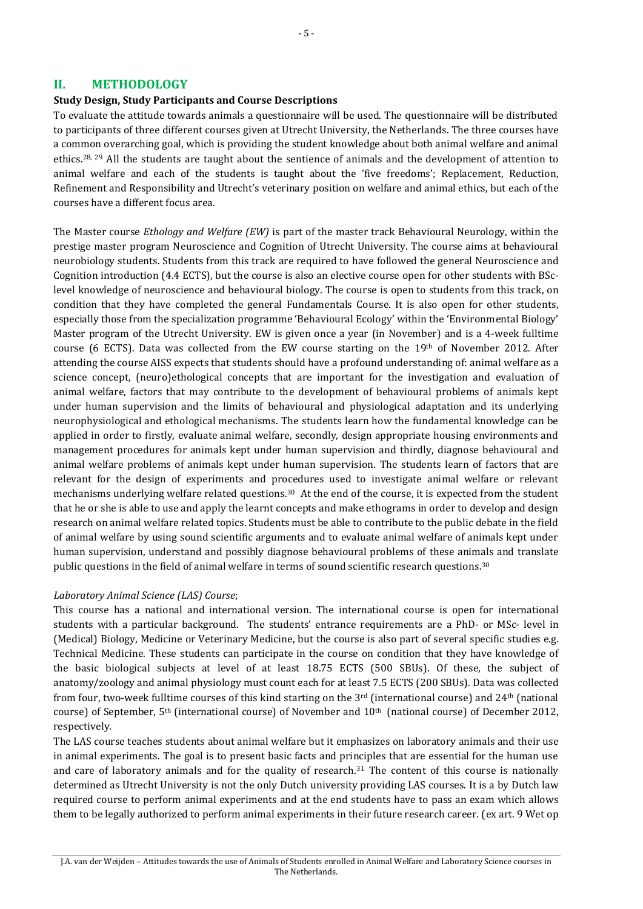#### **II. METHODOLOGY**

#### **Study Design, Study Participants and Course Descriptions**

To evaluate the attitude towards animals a questionnaire will be used. The questionnaire will be distributed to participants of three different courses given at Utrecht University, the Netherlands. The three courses have a common overarching goal, which is providing the student knowledge about both animal welfare and animal ethics.28, 29 All the students are taught about the sentience of animals and the development of attention to animal welfare and each of the students is taught about the 'five freedoms'; Replacement, Reduction, Refinement and Responsibility and Utrecht's veterinary position on welfare and animal ethics, but each of the courses have a different focus area.

The Master course *Ethology and Welfare (EW)* is part of the master track Behavioural Neurology, within the prestige master program Neuroscience and Cognition of Utrecht University. The course aims at behavioural neurobiology students. Students from this track are required to have followed the general Neuroscience and Cognition introduction (4.4 ECTS), but the course is also an elective course open for other students with BSclevel knowledge of neuroscience and behavioural biology. The course is open to students from this track, on condition that they have completed the general Fundamentals Course. It is also open for other students, especially those from the specialization programme 'Behavioural Ecology' within the 'Environmental Biology' Master program of the Utrecht University. EW is given once a year (in November) and is a 4-week fulltime course (6 ECTS). Data was collected from the EW course starting on the 19th of November 2012. After attending the course AISS expects that students should have a profound understanding of: animal welfare as a science concept, (neuro)ethological concepts that are important for the investigation and evaluation of animal welfare, factors that may contribute to the development of behavioural problems of animals kept under human supervision and the limits of behavioural and physiological adaptation and its underlying neurophysiological and ethological mechanisms. The students learn how the fundamental knowledge can be applied in order to firstly, evaluate animal welfare, secondly, design appropriate housing environments and management procedures for animals kept under human supervision and thirdly, diagnose behavioural and animal welfare problems of animals kept under human supervision. The students learn of factors that are relevant for the design of experiments and procedures used to investigate animal welfare or relevant mechanisms underlying welfare related questions.<sup>30</sup> At the end of the course, it is expected from the student that he or she is able to use and apply the learnt concepts and make ethograms in order to develop and design research on animal welfare related topics. Students must be able to contribute to the public debate in the field of animal welfare by using sound scientific arguments and to evaluate animal welfare of animals kept under human supervision, understand and possibly diagnose behavioural problems of these animals and translate public questions in the field of animal welfare in terms of sound scientific research questions.<sup>30</sup>

#### *Laboratory Animal Science (LAS) Course*;

This course has a national and international version. The international course is open for international students with a particular background. The students' entrance requirements are a PhD- or MSc- level in (Medical) Biology, Medicine or Veterinary Medicine, but the course is also part of several specific studies e.g. Technical Medicine. These students can participate in the course on condition that they have knowledge of the basic biological subjects at level of at least 18.75 ECTS (500 SBUs). Of these, the subject of anatomy/zoology and animal physiology must count each for at least 7.5 ECTS (200 SBUs). Data was collected from four, two-week fulltime courses of this kind starting on the  $3<sup>rd</sup>$  (international course) and  $24<sup>th</sup>$  (national course) of September, 5th (international course) of November and 10th (national course) of December 2012, respectively.

The LAS course teaches students about animal welfare but it emphasizes on laboratory animals and their use in animal experiments. The goal is to present basic facts and principles that are essential for the human use and care of laboratory animals and for the quality of research. $31$  The content of this course is nationally determined as Utrecht University is not the only Dutch university providing LAS courses. It is a by Dutch law required course to perform animal experiments and at the end students have to pass an exam which allows them to be legally authorized to perform animal experiments in their future research career. (ex art. 9 Wet op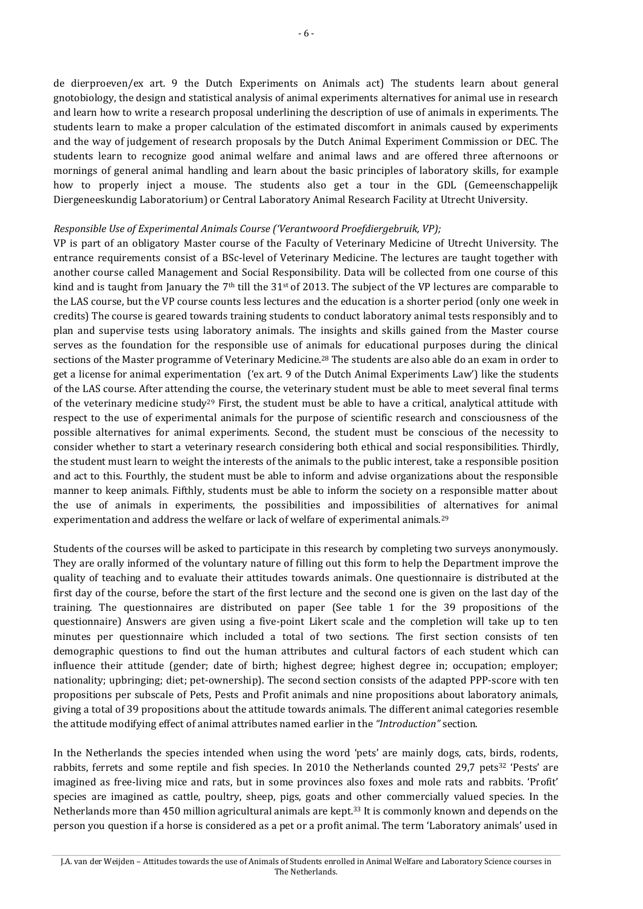de dierproeven/ex art. 9 the Dutch Experiments on Animals act) The students learn about general gnotobiology, the design and statistical analysis of animal experiments alternatives for animal use in research and learn how to write a research proposal underlining the description of use of animals in experiments. The students learn to make a proper calculation of the estimated discomfort in animals caused by experiments and the way of judgement of research proposals by the Dutch Animal Experiment Commission or DEC. The students learn to recognize good animal welfare and animal laws and are offered three afternoons or mornings of general animal handling and learn about the basic principles of laboratory skills, for example how to properly inject a mouse. The students also get a tour in the GDL (Gemeenschappelijk Diergeneeskundig Laboratorium) or Central Laboratory Animal Research Facility at Utrecht University.

#### *Responsible Use of Experimental Animals Course ('Verantwoord Proefdiergebruik, VP);*

VP is part of an obligatory Master course of the Faculty of Veterinary Medicine of Utrecht University. The entrance requirements consist of a BSc-level of Veterinary Medicine. The lectures are taught together with another course called Management and Social Responsibility. Data will be collected from one course of this kind and is taught from January the  $7<sup>th</sup>$  till the 31<sup>st</sup> of 2013. The subject of the VP lectures are comparable to the LAS course, but the VP course counts less lectures and the education is a shorter period (only one week in credits) The course is geared towards training students to conduct laboratory animal tests responsibly and to plan and supervise tests using laboratory animals. The insights and skills gained from the Master course serves as the foundation for the responsible use of animals for educational purposes during the clinical sections of the Master programme of Veterinary Medicine.<sup>28</sup> The students are also able do an exam in order to get a license for animal experimentation ('ex art. 9 of the Dutch Animal Experiments Law') like the students of the LAS course. After attending the course, the veterinary student must be able to meet several final terms of the veterinary medicine study<sup>29</sup> First, the student must be able to have a critical, analytical attitude with respect to the use of experimental animals for the purpose of scientific research and consciousness of the possible alternatives for animal experiments. Second, the student must be conscious of the necessity to consider whether to start a veterinary research considering both ethical and social responsibilities. Thirdly, the student must learn to weight the interests of the animals to the public interest, take a responsible position and act to this. Fourthly, the student must be able to inform and advise organizations about the responsible manner to keep animals. Fifthly, students must be able to inform the society on a responsible matter about the use of animals in experiments, the possibilities and impossibilities of alternatives for animal experimentation and address the welfare or lack of welfare of experimental animals.<sup>29</sup>

Students of the courses will be asked to participate in this research by completing two surveys anonymously. They are orally informed of the voluntary nature of filling out this form to help the Department improve the quality of teaching and to evaluate their attitudes towards animals. One questionnaire is distributed at the first day of the course, before the start of the first lecture and the second one is given on the last day of the training. The questionnaires are distributed on paper (See table 1 for the 39 propositions of the questionnaire) Answers are given using a five-point Likert scale and the completion will take up to ten minutes per questionnaire which included a total of two sections. The first section consists of ten demographic questions to find out the human attributes and cultural factors of each student which can influence their attitude (gender; date of birth; highest degree; highest degree in; occupation; employer; nationality; upbringing; diet; pet-ownership). The second section consists of the adapted PPP-score with ten propositions per subscale of Pets, Pests and Profit animals and nine propositions about laboratory animals, giving a total of 39 propositions about the attitude towards animals. The different animal categories resemble the attitude modifying effect of animal attributes named earlier in the *"Introduction"* section.

In the Netherlands the species intended when using the word 'pets' are mainly dogs, cats, birds, rodents, rabbits, ferrets and some reptile and fish species. In 2010 the Netherlands counted 29,7 pets<sup>32</sup> 'Pests' are imagined as free-living mice and rats, but in some provinces also foxes and mole rats and rabbits. 'Profit' species are imagined as cattle, poultry, sheep, pigs, goats and other commercially valued species. In the Netherlands more than 450 million agricultural animals are kept.<sup>33</sup> It is commonly known and depends on the person you question if a horse is considered as a pet or a profit animal. The term 'Laboratory animals' used in

J.A. van der Weijden – Attitudes towards the use of Animals of Students enrolled in Animal Welfare and Laboratory Science courses in The Netherlands.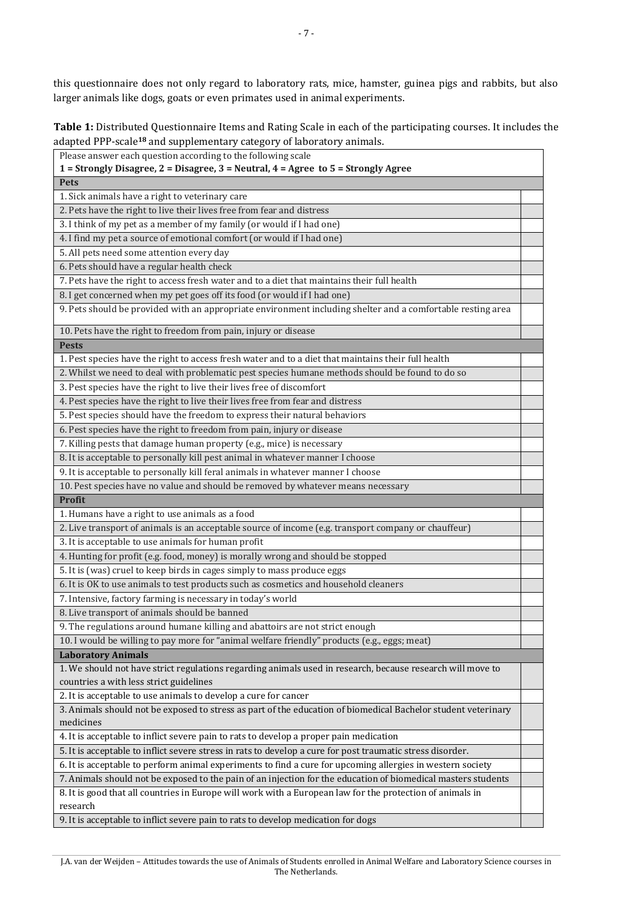this questionnaire does not only regard to laboratory rats, mice, hamster, guinea pigs and rabbits, but also larger animals like dogs, goats or even primates used in animal experiments.

**Table 1:** Distributed Questionnaire Items and Rating Scale in each of the participating courses. It includes the adapted PPP-scale**<sup>18</sup>** and supplementary category of laboratory animals.

| Please answer each question according to the following scale                                                  |  |  |  |  |  |
|---------------------------------------------------------------------------------------------------------------|--|--|--|--|--|
| 1 = Strongly Disagree, 2 = Disagree, 3 = Neutral, 4 = Agree to 5 = Strongly Agree                             |  |  |  |  |  |
| <b>Pets</b>                                                                                                   |  |  |  |  |  |
| 1. Sick animals have a right to veterinary care                                                               |  |  |  |  |  |
| 2. Pets have the right to live their lives free from fear and distress                                        |  |  |  |  |  |
| 3. I think of my pet as a member of my family (or would if I had one)                                         |  |  |  |  |  |
| 4. I find my pet a source of emotional comfort (or would if I had one)                                        |  |  |  |  |  |
| 5. All pets need some attention every day                                                                     |  |  |  |  |  |
| 6. Pets should have a regular health check                                                                    |  |  |  |  |  |
| 7. Pets have the right to access fresh water and to a diet that maintains their full health                   |  |  |  |  |  |
| 8. I get concerned when my pet goes off its food (or would if I had one)                                      |  |  |  |  |  |
| 9. Pets should be provided with an appropriate environment including shelter and a comfortable resting area   |  |  |  |  |  |
| 10. Pets have the right to freedom from pain, injury or disease                                               |  |  |  |  |  |
| <b>Pests</b>                                                                                                  |  |  |  |  |  |
| 1. Pest species have the right to access fresh water and to a diet that maintains their full health           |  |  |  |  |  |
| 2. Whilst we need to deal with problematic pest species humane methods should be found to do so               |  |  |  |  |  |
| 3. Pest species have the right to live their lives free of discomfort                                         |  |  |  |  |  |
| 4. Pest species have the right to live their lives free from fear and distress                                |  |  |  |  |  |
| 5. Pest species should have the freedom to express their natural behaviors                                    |  |  |  |  |  |
| 6. Pest species have the right to freedom from pain, injury or disease                                        |  |  |  |  |  |
| 7. Killing pests that damage human property (e.g., mice) is necessary                                         |  |  |  |  |  |
| 8. It is acceptable to personally kill pest animal in whatever manner I choose                                |  |  |  |  |  |
| 9. It is acceptable to personally kill feral animals in whatever manner I choose                              |  |  |  |  |  |
| 10. Pest species have no value and should be removed by whatever means necessary                              |  |  |  |  |  |
| <b>Profit</b>                                                                                                 |  |  |  |  |  |
| 1. Humans have a right to use animals as a food                                                               |  |  |  |  |  |
| 2. Live transport of animals is an acceptable source of income (e.g. transport company or chauffeur)          |  |  |  |  |  |
| 3. It is acceptable to use animals for human profit                                                           |  |  |  |  |  |
| 4. Hunting for profit (e.g. food, money) is morally wrong and should be stopped                               |  |  |  |  |  |
| 5. It is (was) cruel to keep birds in cages simply to mass produce eggs                                       |  |  |  |  |  |
| 6. It is OK to use animals to test products such as cosmetics and household cleaners                          |  |  |  |  |  |
| 7. Intensive, factory farming is necessary in today's world                                                   |  |  |  |  |  |
| 8. Live transport of animals should be banned                                                                 |  |  |  |  |  |
| 9. The regulations around humane killing and abattoirs are not strict enough                                  |  |  |  |  |  |
| 10. I would be willing to pay more for "animal welfare friendly" products (e.g., eggs; meat)                  |  |  |  |  |  |
| <b>Laboratory Animals</b>                                                                                     |  |  |  |  |  |
| 1. We should not have strict regulations regarding animals used in research, because research will move to    |  |  |  |  |  |
| countries a with less strict guidelines                                                                       |  |  |  |  |  |
| 2. It is acceptable to use animals to develop a cure for cancer                                               |  |  |  |  |  |
| 3. Animals should not be exposed to stress as part of the education of biomedical Bachelor student veterinary |  |  |  |  |  |
| medicines                                                                                                     |  |  |  |  |  |
| 4. It is acceptable to inflict severe pain to rats to develop a proper pain medication                        |  |  |  |  |  |
| 5. It is acceptable to inflict severe stress in rats to develop a cure for post traumatic stress disorder.    |  |  |  |  |  |
| 6. It is acceptable to perform animal experiments to find a cure for upcoming allergies in western society    |  |  |  |  |  |
| 7. Animals should not be exposed to the pain of an injection for the education of biomedical masters students |  |  |  |  |  |
| 8. It is good that all countries in Europe will work with a European law for the protection of animals in     |  |  |  |  |  |
| research                                                                                                      |  |  |  |  |  |
| 9. It is acceptable to inflict severe pain to rats to develop medication for dogs                             |  |  |  |  |  |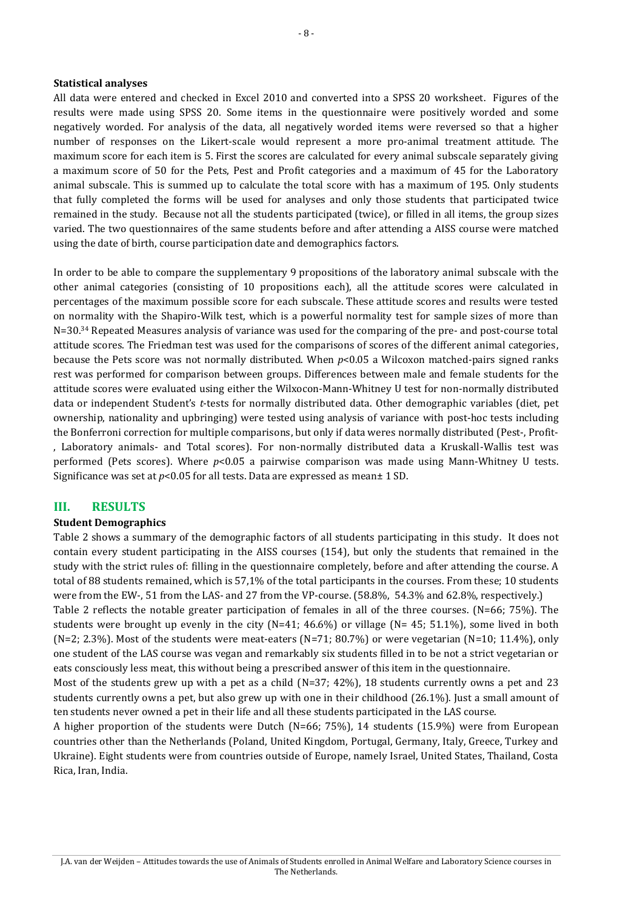#### **Statistical analyses**

All data were entered and checked in Excel 2010 and converted into a SPSS 20 worksheet. Figures of the results were made using SPSS 20. Some items in the questionnaire were positively worded and some negatively worded. For analysis of the data, all negatively worded items were reversed so that a higher number of responses on the Likert-scale would represent a more pro-animal treatment attitude. The maximum score for each item is 5. First the scores are calculated for every animal subscale separately giving a maximum score of 50 for the Pets, Pest and Profit categories and a maximum of 45 for the Laboratory animal subscale. This is summed up to calculate the total score with has a maximum of 195. Only students that fully completed the forms will be used for analyses and only those students that participated twice remained in the study. Because not all the students participated (twice), or filled in all items, the group sizes varied. The two questionnaires of the same students before and after attending a AISS course were matched using the date of birth, course participation date and demographics factors.

In order to be able to compare the supplementary 9 propositions of the laboratory animal subscale with the other animal categories (consisting of 10 propositions each), all the attitude scores were calculated in percentages of the maximum possible score for each subscale. These attitude scores and results were tested on normality with the Shapiro-Wilk test, which is a powerful normality test for sample sizes of more than N=30.<sup>34</sup> Repeated Measures analysis of variance was used for the comparing of the pre- and post-course total attitude scores. The Friedman test was used for the comparisons of scores of the different animal categories, because the Pets score was not normally distributed. When *p*<0.05 a Wilcoxon matched-pairs signed ranks rest was performed for comparison between groups. Differences between male and female students for the attitude scores were evaluated using either the Wilxocon-Mann-Whitney U test for non-normally distributed data or independent Student's *t*-tests for normally distributed data. Other demographic variables (diet, pet ownership, nationality and upbringing) were tested using analysis of variance with post-hoc tests including the Bonferroni correction for multiple comparisons, but only if data weres normally distributed (Pest-, Profit- , Laboratory animals- and Total scores). For non-normally distributed data a Kruskall-Wallis test was performed (Pets scores). Where *p*<0.05 a pairwise comparison was made using Mann-Whitney U tests. Significance was set at *p*<0.05 for all tests. Data are expressed as mean± 1 SD.

#### **III. RESULTS**

#### **Student Demographics**

Table 2 shows a summary of the demographic factors of all students participating in this study. It does not contain every student participating in the AISS courses (154), but only the students that remained in the study with the strict rules of: filling in the questionnaire completely, before and after attending the course. A total of 88 students remained, which is 57,1% of the total participants in the courses. From these; 10 students were from the EW-, 51 from the LAS- and 27 from the VP-course. (58.8%, 54.3% and 62.8%, respectively.) Table 2 reflects the notable greater participation of females in all of the three courses. (N=66; 75%). The students were brought up evenly in the city (N=41; 46.6%) or village (N= 45; 51.1%), some lived in both  $(N=2; 2.3%)$ . Most of the students were meat-eaters  $(N=71; 80.7%)$  or were vegetarian  $(N=10; 11.4%)$ , only one student of the LAS course was vegan and remarkably six students filled in to be not a strict vegetarian or eats consciously less meat, this without being a prescribed answer of this item in the questionnaire.

Most of the students grew up with a pet as a child (N=37; 42%), 18 students currently owns a pet and 23 students currently owns a pet, but also grew up with one in their childhood (26.1%). Just a small amount of ten students never owned a pet in their life and all these students participated in the LAS course.

A higher proportion of the students were Dutch (N=66; 75%), 14 students (15.9%) were from European countries other than the Netherlands (Poland, United Kingdom, Portugal, Germany, Italy, Greece, Turkey and Ukraine). Eight students were from countries outside of Europe, namely Israel, United States, Thailand, Costa Rica, Iran, India.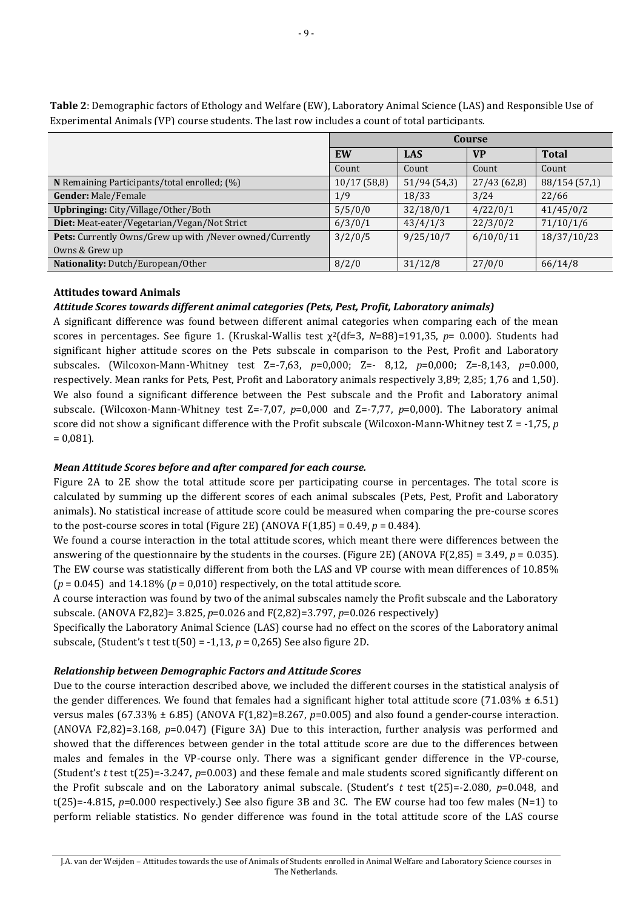|                                                          | Course      |             |             |               |
|----------------------------------------------------------|-------------|-------------|-------------|---------------|
|                                                          | EW          | <b>LAS</b>  | <b>VP</b>   | <b>Total</b>  |
|                                                          | Count       | Count       | Count       | Count         |
| N Remaining Participants/total enrolled; (%)             | 10/17(58,8) | 51/94(54,3) | 27/43(62,8) | 88/154 (57,1) |
| Gender: Male/Female                                      | 1/9         | 18/33       | 3/24        | 22/66         |
| <b>Upbringing:</b> City/Village/Other/Both               | 5/5/0/0     | 32/18/0/1   | 4/22/0/1    | 41/45/0/2     |
| Diet: Meat-eater/Vegetarian/Vegan/Not Strict             | 6/3/0/1     | 43/4/1/3    | 22/3/0/2    | 71/10/1/6     |
| Pets: Currently Owns/Grew up with /Never owned/Currently | 3/2/0/5     | 9/25/10/7   | 6/10/0/11   | 18/37/10/23   |
| Owns & Grew up                                           |             |             |             |               |
| Nationality: Dutch/European/Other                        | 8/2/0       | 31/12/8     | 27/0/0      | 66/14/8       |

**Table 2**: Demographic factors of Ethology and Welfare (EW), Laboratory Animal Science (LAS) and Responsible Use of Experimental Animals (VP) course students. The last row includes a count of total participants.

#### **Attitudes toward Animals**

#### *Attitude Scores towards different animal categories (Pets, Pest, Profit, Laboratory animals)*

A significant difference was found between different animal categories when comparing each of the mean scores in percentages. See figure 1. (Kruskal-Wallis test χ <sup>2</sup>(df=3, *N*=88)=191,35, *p*= 0.000). Students had significant higher attitude scores on the Pets subscale in comparison to the Pest, Profit and Laboratory subscales. (Wilcoxon-Mann-Whitney test Z=-7,63, *p*=0,000; Z=- 8,12, *p*=0,000; Z=-8,143, *p*=0.000, respectively. Mean ranks for Pets, Pest, Profit and Laboratory animals respectively 3,89; 2,85; 1,76 and 1,50). We also found a significant difference between the Pest subscale and the Profit and Laboratory animal subscale. (Wilcoxon-Mann-Whitney test Z=-7,07, *p*=0,000 and Z=-7,77, *p*=0,000). The Laboratory animal score did not show a significant difference with the Profit subscale (Wilcoxon-Mann-Whitney test Z = -1,75, *p*  $= 0.081$ ).

#### *Mean Attitude Scores before and after compared for each course.*

Figure 2A to 2E show the total attitude score per participating course in percentages. The total score is calculated by summing up the different scores of each animal subscales (Pets, Pest, Profit and Laboratory animals). No statistical increase of attitude score could be measured when comparing the pre-course scores to the post-course scores in total (Figure 2E) (ANOVA  $F(1,85) = 0.49$ ,  $p = 0.484$ ).

We found a course interaction in the total attitude scores, which meant there were differences between the answering of the questionnaire by the students in the courses. (Figure 2E) (ANOVA F(2,85) = 3.49, *p* = 0.035). The EW course was statistically different from both the LAS and VP course with mean differences of 10.85%  $(p = 0.045)$  and 14.18%  $(p = 0.010)$  respectively, on the total attitude score.

A course interaction was found by two of the animal subscales namely the Profit subscale and the Laboratory subscale. (ANOVA F2,82)= 3.825, *p*=0.026 and F(2,82)=3.797, *p*=0.026 respectively)

Specifically the Laboratory Animal Science (LAS) course had no effect on the scores of the Laboratory animal subscale, (Student's t test t(50) = -1,13, *p* = 0,265) See also figure 2D.

#### *Relationship between Demographic Factors and Attitude Scores*

Due to the course interaction described above, we included the different courses in the statistical analysis of the gender differences. We found that females had a significant higher total attitude score (71.03%  $\pm$  6.51) versus males (67.33%  $\pm$  6.85) (ANOVA F(1,82)=8.267, *p*=0.005) and also found a gender-course interaction. (ANOVA F2,82)=3.168, *p*=0.047) (Figure 3A) Due to this interaction, further analysis was performed and showed that the differences between gender in the total attitude score are due to the differences between males and females in the VP-course only. There was a significant gender difference in the VP-course, (Student's *t* test t(25)=-3.247, *p*=0.003) and these female and male students scored significantly different on the Profit subscale and on the Laboratory animal subscale. (Student's *t* test t(25)=-2.080, *p*=0.048, and  $t(25)=-4.815$ ,  $p=0.000$  respectively.) See also figure 3B and 3C. The EW course had too few males (N=1) to perform reliable statistics. No gender difference was found in the total attitude score of the LAS course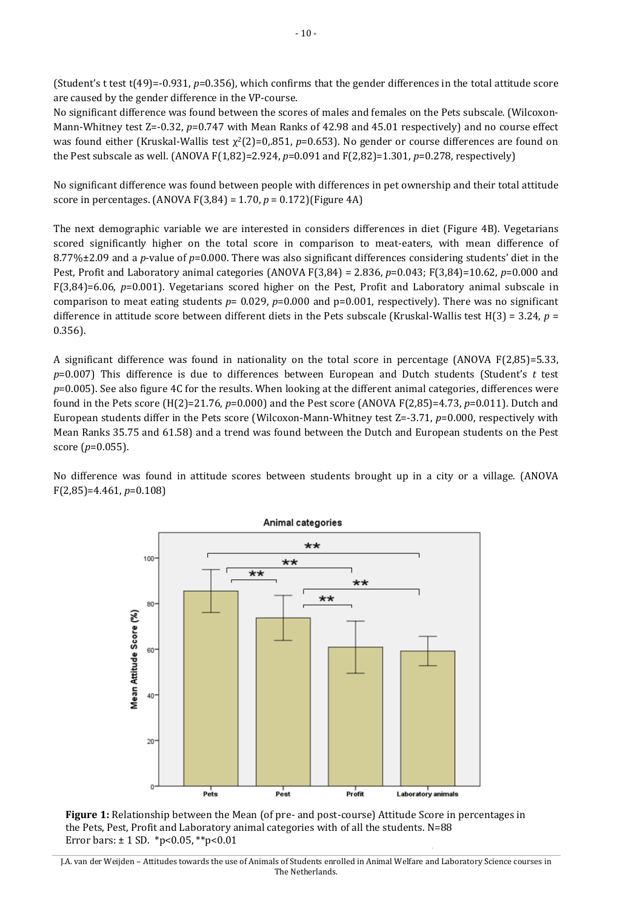(Student's t test t(49)=-0.931, *p*=0.356), which confirms that the gender differences in the total attitude score are caused by the gender difference in the VP-course.

No significant difference was found between the scores of males and females on the Pets subscale. (Wilcoxon-Mann-Whitney test Z=-0.32, *p*=0.747 with Mean Ranks of 42.98 and 45.01 respectively) and no course effect was found either (Kruskal-Wallis test  $\chi^2(2)=0.851$ , *p*=0.653). No gender or course differences are found on the Pest subscale as well. (ANOVA F(1,82)=2.924, *p*=0.091 and F(2,82)=1.301, *p*=0.278, respectively)

No significant difference was found between people with differences in pet ownership and their total attitude score in percentages. (ANOVA F(3,84) = 1.70, *p* = 0.172)(Figure 4A)

The next demographic variable we are interested in considers differences in diet (Figure 4B). Vegetarians scored significantly higher on the total score in comparison to meat-eaters, with mean difference of 8.77%±2.09 and a *p*-value of *p*=0.000. There was also significant differences considering students' diet in the Pest, Profit and Laboratory animal categories (ANOVA F(3,84) = 2.836, *p*=0.043; F(3,84)=10.62, *p*=0.000 and F(3,84)=6.06, *p*=0.001). Vegetarians scored higher on the Pest, Profit and Laboratory animal subscale in comparison to meat eating students *p*= 0.029, *p*=0.000 and p=0.001, respectively). There was no significant difference in attitude score between different diets in the Pets subscale (Kruskal-Wallis test H(3) = 3.24, *p* = 0.356).

A significant difference was found in nationality on the total score in percentage (ANOVA F(2,85)=5.33, *p*=0.007) This difference is due to differences between European and Dutch students (Student's *t* test *p*=0.005). See also figure 4C for the results. When looking at the different animal categories, differences were found in the Pets score (H(2)=21.76, *p*=0.000) and the Pest score (ANOVA F(2,85)=4.73, *p*=0.011). Dutch and European students differ in the Pets score (Wilcoxon-Mann-Whitney test Z=-3.71, *p*=0.000, respectively with Mean Ranks 35.75 and 61.58) and a trend was found between the Dutch and European students on the Pest score (*p*=0.055).

No difference was found in attitude scores between students brought up in a city or a village. (ANOVA F(2,85)=4.461, *p*=0.108)



**Figure 1:** Relationship between the Mean (of pre- and post-course) Attitude Score in percentages in the Pets, Pest, Profit and Laboratory animal categories with of all the students. N=88 Error bars:  $\pm$  1 SD. \*p<0.05, \*\*p<0.01

J.A. van der Weijden – Attitudes towards the use of Animals of Students enrolled in Animal Welfare and Laboratory Science courses in The Netherlands.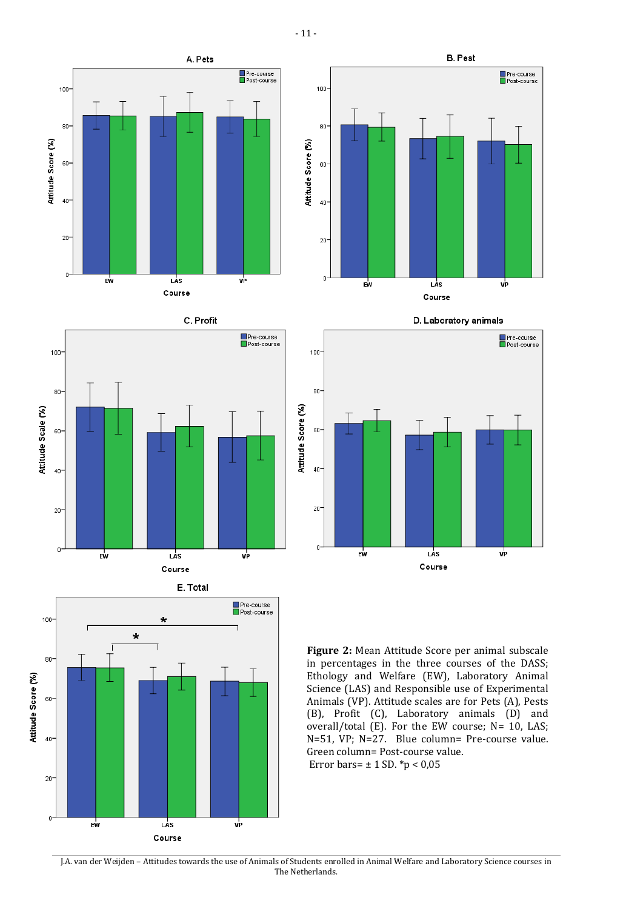- 11 -















J.A. van der Weijden – Attitudes towards the use of Animals of Students enrolled in Animal Welfare and Laboratory Science courses in The Netherlands.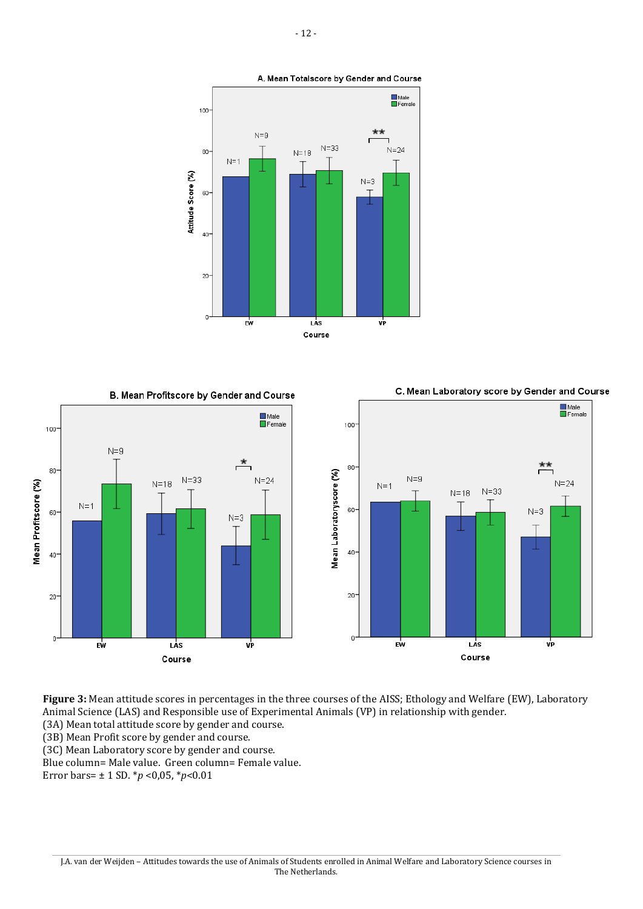

Male<br>EFemale



B. Mean Profitscore by Gender and Course

100



Male<br>EFemale

 $**$ 

vP

 $N=3$ 

 $N = 24$ 



**Figure 3:** Mean attitude scores in percentages in the three courses of the AISS; Ethology and Welfare (EW), Laboratory Animal Science (LAS) and Responsible use of Experimental Animals (VP) in relationship with gender.

J.A. van der Weijden – Attitudes towards the use of Animals of Students enrolled in Animal Welfare and Laboratory Science courses in The Netherlands.

(3A) Mean total attitude score by gender and course.

(3B) Mean Profit score by gender and course.

(3C) Mean Laboratory score by gender and course.

Blue column= Male value. Green column= Female value.

Error bars= ± 1 SD. \**p* <0,05, \**p*<0.01

100

 $80 -$ 

60-

 $40 -$ 

 $20 -$ 

 $\Omega$ 

Mean Profitscore (%)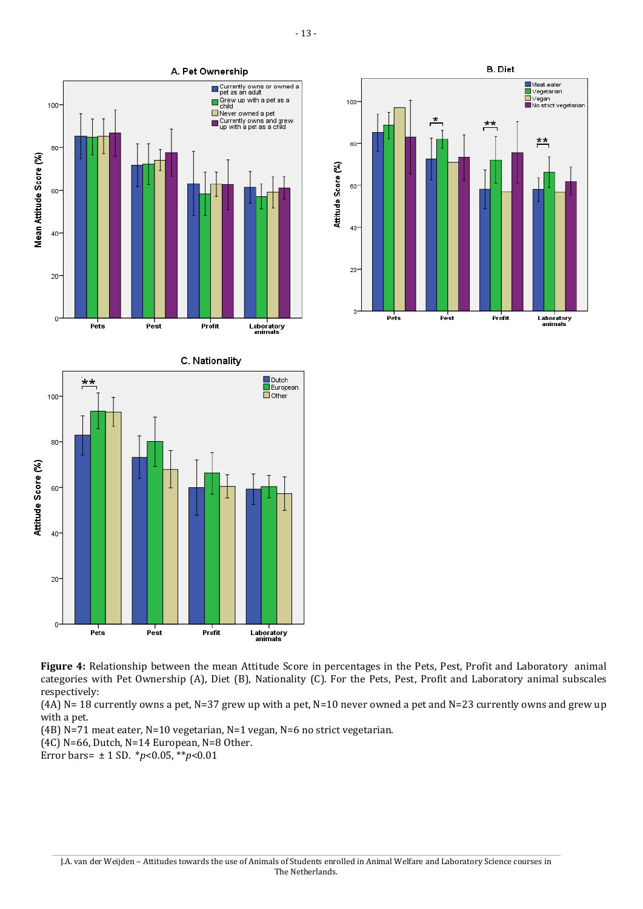



**Figure 4:** Relationship between the mean Attitude Score in percentages in the Pets, Pest, Profit and Laboratory animal categories with Pet Ownership (A), Diet (B), Nationality (C). For the Pets, Pest, Profit and Laboratory animal subscales respectively:

 $(A)$  N= 18 currently owns a pet, N=37 grew up with a pet, N=10 never owned a pet and N=23 currently owns and grew up with a pet.

(4B) N=71 meat eater, N=10 vegetarian, N=1 vegan, N=6 no strict vegetarian.

(4C) N=66, Dutch, N=14 European, N=8 Other.

Error bars= ± 1 SD. \**p*<0.05, \*\**p*<0.01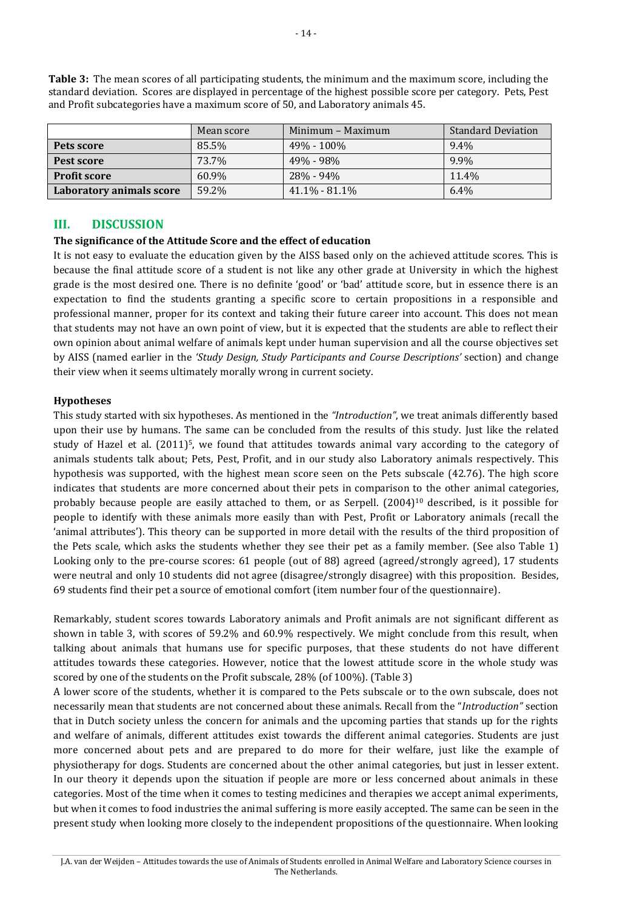|                          | Mean score | Minimum – Maximum | <b>Standard Deviation</b> |  |
|--------------------------|------------|-------------------|---------------------------|--|
| Pets score               | 85.5%      | $49\% - 100\%$    | $9.4\%$                   |  |
| Pest score               | 73.7%      | 49% - 98%         | 9.9%                      |  |
| <b>Profit score</b>      | 60.9%      | 28% - 94%         | 11.4%                     |  |
| Laboratory animals score | 59.2%      | $41.1\% - 81.1\%$ | 6.4%                      |  |

**Table 3:** The mean scores of all participating students, the minimum and the maximum score, including the standard deviation. Scores are displayed in percentage of the highest possible score per category. Pets, Pest and Profit subcategories have a maximum score of 50, and Laboratory animals 45.

## **III. DISCUSSION**

#### **The significance of the Attitude Score and the effect of education**

It is not easy to evaluate the education given by the AISS based only on the achieved attitude scores. This is because the final attitude score of a student is not like any other grade at University in which the highest grade is the most desired one. There is no definite 'good' or 'bad' attitude score, but in essence there is an expectation to find the students granting a specific score to certain propositions in a responsible and professional manner, proper for its context and taking their future career into account. This does not mean that students may not have an own point of view, but it is expected that the students are able to reflect their own opinion about animal welfare of animals kept under human supervision and all the course objectives set by AISS (named earlier in the *'Study Design, Study Participants and Course Descriptions'* section) and change their view when it seems ultimately morally wrong in current society.

#### **Hypotheses**

This study started with six hypotheses. As mentioned in the *"Introduction"*, we treat animals differently based upon their use by humans. The same can be concluded from the results of this study. Just like the related study of Hazel et al. (2011) <sup>5</sup>, we found that attitudes towards animal vary according to the category of animals students talk about; Pets, Pest, Profit, and in our study also Laboratory animals respectively. This hypothesis was supported, with the highest mean score seen on the Pets subscale (42.76). The high score indicates that students are more concerned about their pets in comparison to the other animal categories, probably because people are easily attached to them, or as Serpell. (2004) <sup>10</sup> described, is it possible for people to identify with these animals more easily than with Pest, Profit or Laboratory animals (recall the 'animal attributes'). This theory can be supported in more detail with the results of the third proposition of the Pets scale, which asks the students whether they see their pet as a family member. (See also Table 1) Looking only to the pre-course scores: 61 people (out of 88) agreed (agreed/strongly agreed), 17 students were neutral and only 10 students did not agree (disagree/strongly disagree) with this proposition. Besides, 69 students find their pet a source of emotional comfort (item number four of the questionnaire).

Remarkably, student scores towards Laboratory animals and Profit animals are not significant different as shown in table 3, with scores of 59.2% and 60.9% respectively. We might conclude from this result, when talking about animals that humans use for specific purposes, that these students do not have different attitudes towards these categories. However, notice that the lowest attitude score in the whole study was scored by one of the students on the Profit subscale, 28% (of 100%). (Table 3)

A lower score of the students, whether it is compared to the Pets subscale or to the own subscale, does not necessarily mean that students are not concerned about these animals. Recall from the "*Introduction"* section that in Dutch society unless the concern for animals and the upcoming parties that stands up for the rights and welfare of animals, different attitudes exist towards the different animal categories. Students are just more concerned about pets and are prepared to do more for their welfare, just like the example of physiotherapy for dogs. Students are concerned about the other animal categories, but just in lesser extent. In our theory it depends upon the situation if people are more or less concerned about animals in these categories. Most of the time when it comes to testing medicines and therapies we accept animal experiments, but when it comes to food industries the animal suffering is more easily accepted. The same can be seen in the present study when looking more closely to the independent propositions of the questionnaire. When looking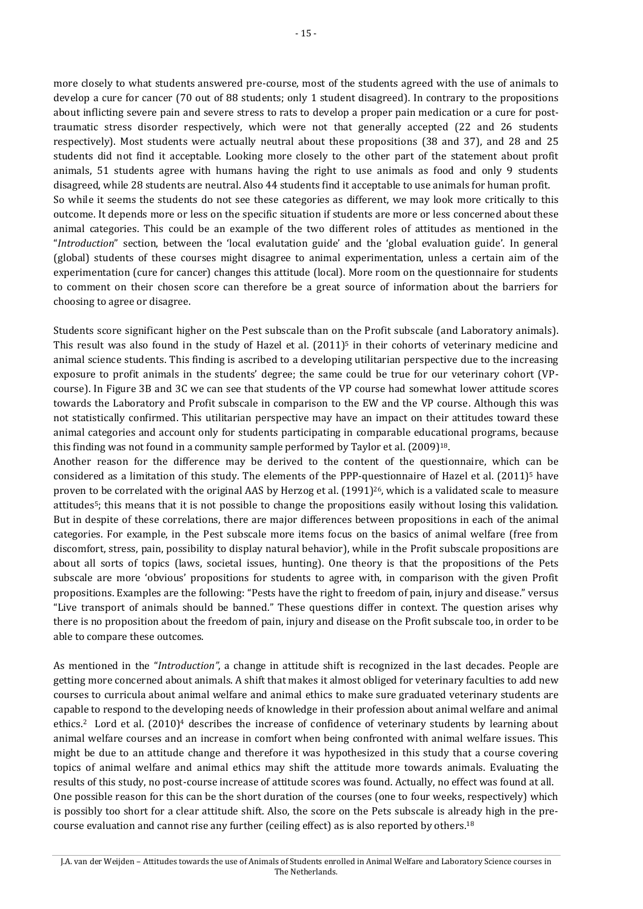more closely to what students answered pre-course, most of the students agreed with the use of animals to develop a cure for cancer (70 out of 88 students; only 1 student disagreed). In contrary to the propositions about inflicting severe pain and severe stress to rats to develop a proper pain medication or a cure for posttraumatic stress disorder respectively, which were not that generally accepted (22 and 26 students respectively). Most students were actually neutral about these propositions (38 and 37), and 28 and 25 students did not find it acceptable. Looking more closely to the other part of the statement about profit animals, 51 students agree with humans having the right to use animals as food and only 9 students disagreed, while 28 students are neutral. Also 44 students find it acceptable to use animals for human profit. So while it seems the students do not see these categories as different, we may look more critically to this outcome. It depends more or less on the specific situation if students are more or less concerned about these animal categories. This could be an example of the two different roles of attitudes as mentioned in the "*Introduction*" section, between the 'local evalutation guide' and the 'global evaluation guide'. In general (global) students of these courses might disagree to animal experimentation, unless a certain aim of the experimentation (cure for cancer) changes this attitude (local). More room on the questionnaire for students to comment on their chosen score can therefore be a great source of information about the barriers for choosing to agree or disagree.

Students score significant higher on the Pest subscale than on the Profit subscale (and Laboratory animals). This result was also found in the study of Hazel et al.  $(2011)^5$  in their cohorts of veterinary medicine and animal science students. This finding is ascribed to a developing utilitarian perspective due to the increasing exposure to profit animals in the students' degree; the same could be true for our veterinary cohort (VPcourse). In Figure 3B and 3C we can see that students of the VP course had somewhat lower attitude scores towards the Laboratory and Profit subscale in comparison to the EW and the VP course. Although this was not statistically confirmed. This utilitarian perspective may have an impact on their attitudes toward these animal categories and account only for students participating in comparable educational programs, because this finding was not found in a community sample performed by Taylor et al. (2009) 18.

Another reason for the difference may be derived to the content of the questionnaire, which can be considered as a limitation of this study. The elements of the PPP-questionnaire of Hazel et al. (2011) <sup>5</sup> have proven to be correlated with the original AAS by Herzog et al.  $(1991)^{26}$ , which is a validated scale to measure attitudes5; this means that it is not possible to change the propositions easily without losing this validation. But in despite of these correlations, there are major differences between propositions in each of the animal categories. For example, in the Pest subscale more items focus on the basics of animal welfare (free from discomfort, stress, pain, possibility to display natural behavior), while in the Profit subscale propositions are about all sorts of topics (laws, societal issues, hunting). One theory is that the propositions of the Pets subscale are more 'obvious' propositions for students to agree with, in comparison with the given Profit propositions. Examples are the following: "Pests have the right to freedom of pain, injury and disease." versus "Live transport of animals should be banned." These questions differ in context. The question arises why there is no proposition about the freedom of pain, injury and disease on the Profit subscale too, in order to be able to compare these outcomes.

As mentioned in the "*Introduction"*, a change in attitude shift is recognized in the last decades. People are getting more concerned about animals. A shift that makes it almost obliged for veterinary faculties to add new courses to curricula about animal welfare and animal ethics to make sure graduated veterinary students are capable to respond to the developing needs of knowledge in their profession about animal welfare and animal ethics.2 Lord et al. (2010) <sup>4</sup> describes the increase of confidence of veterinary students by learning about animal welfare courses and an increase in comfort when being confronted with animal welfare issues. This might be due to an attitude change and therefore it was hypothesized in this study that a course covering topics of animal welfare and animal ethics may shift the attitude more towards animals. Evaluating the results of this study, no post-course increase of attitude scores was found. Actually, no effect was found at all. One possible reason for this can be the short duration of the courses (one to four weeks, respectively) which is possibly too short for a clear attitude shift. Also, the score on the Pets subscale is already high in the precourse evaluation and cannot rise any further (ceiling effect) as is also reported by others.<sup>18</sup>

J.A. van der Weijden – Attitudes towards the use of Animals of Students enrolled in Animal Welfare and Laboratory Science courses in The Netherlands.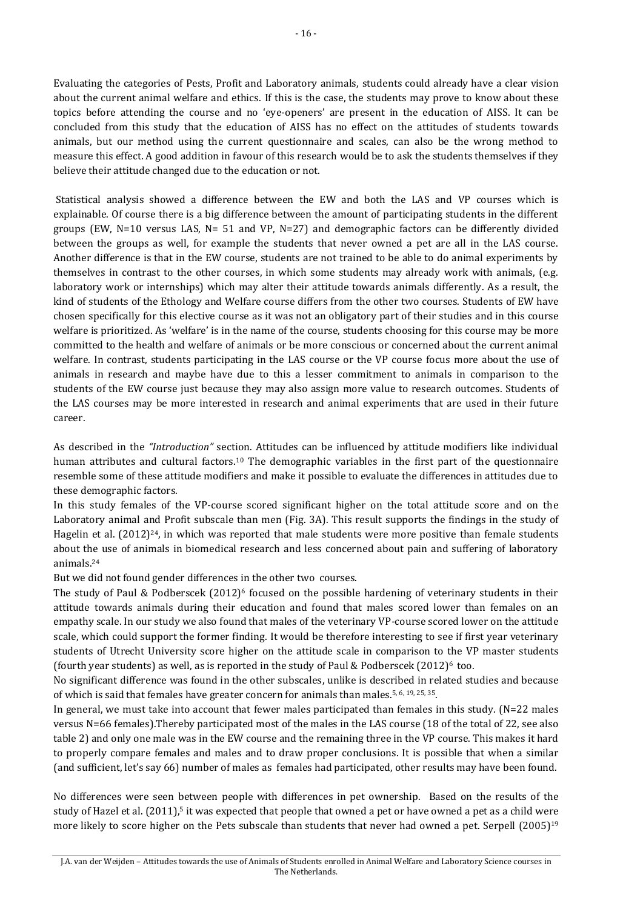Evaluating the categories of Pests, Profit and Laboratory animals, students could already have a clear vision about the current animal welfare and ethics. If this is the case, the students may prove to know about these topics before attending the course and no 'eye-openers' are present in the education of AISS. It can be concluded from this study that the education of AISS has no effect on the attitudes of students towards animals, but our method using the current questionnaire and scales, can also be the wrong method to measure this effect. A good addition in favour of this research would be to ask the students themselves if they believe their attitude changed due to the education or not.

Statistical analysis showed a difference between the EW and both the LAS and VP courses which is explainable. Of course there is a big difference between the amount of participating students in the different groups (EW,  $N=10$  versus LAS,  $N=51$  and VP,  $N=27$ ) and demographic factors can be differently divided between the groups as well, for example the students that never owned a pet are all in the LAS course. Another difference is that in the EW course, students are not trained to be able to do animal experiments by themselves in contrast to the other courses, in which some students may already work with animals, (e.g. laboratory work or internships) which may alter their attitude towards animals differently. As a result, the kind of students of the Ethology and Welfare course differs from the other two courses. Students of EW have chosen specifically for this elective course as it was not an obligatory part of their studies and in this course welfare is prioritized. As 'welfare' is in the name of the course, students choosing for this course may be more committed to the health and welfare of animals or be more conscious or concerned about the current animal welfare. In contrast, students participating in the LAS course or the VP course focus more about the use of animals in research and maybe have due to this a lesser commitment to animals in comparison to the students of the EW course just because they may also assign more value to research outcomes. Students of the LAS courses may be more interested in research and animal experiments that are used in their future career.

As described in the *"Introduction"* section. Attitudes can be influenced by attitude modifiers like individual human attributes and cultural factors.<sup>10</sup> The demographic variables in the first part of the questionnaire resemble some of these attitude modifiers and make it possible to evaluate the differences in attitudes due to these demographic factors.

In this study females of the VP-course scored significant higher on the total attitude score and on the Laboratory animal and Profit subscale than men (Fig. 3A). This result supports the findings in the study of Hagelin et al. (2012)<sup>24</sup>, in which was reported that male students were more positive than female students about the use of animals in biomedical research and less concerned about pain and suffering of laboratory animals.<sup>24</sup>

But we did not found gender differences in the other two courses.

The study of Paul & Podberscek (2012) <sup>6</sup> focused on the possible hardening of veterinary students in their attitude towards animals during their education and found that males scored lower than females on an empathy scale. In our study we also found that males of the veterinary VP-course scored lower on the attitude scale, which could support the former finding. It would be therefore interesting to see if first year veterinary students of Utrecht University score higher on the attitude scale in comparison to the VP master students (fourth year students) as well, as is reported in the study of Paul & Podberscek  $(2012)^6$  too.

No significant difference was found in the other subscales, unlike is described in related studies and because of which is said that females have greater concern for animals than males.<sup>5, 6, 19, 25, 35</sup>.

In general, we must take into account that fewer males participated than females in this study.  $(N=22 \text{ males})$ versus N=66 females).Thereby participated most of the males in the LAS course (18 of the total of 22, see also table 2) and only one male was in the EW course and the remaining three in the VP course. This makes it hard to properly compare females and males and to draw proper conclusions. It is possible that when a similar (and sufficient, let's say 66) number of males as females had participated, other results may have been found.

No differences were seen between people with differences in pet ownership. Based on the results of the study of Hazel et al. (2011),<sup>5</sup> it was expected that people that owned a pet or have owned a pet as a child were more likely to score higher on the Pets subscale than students that never had owned a pet. Serpell (2005)<sup>19</sup>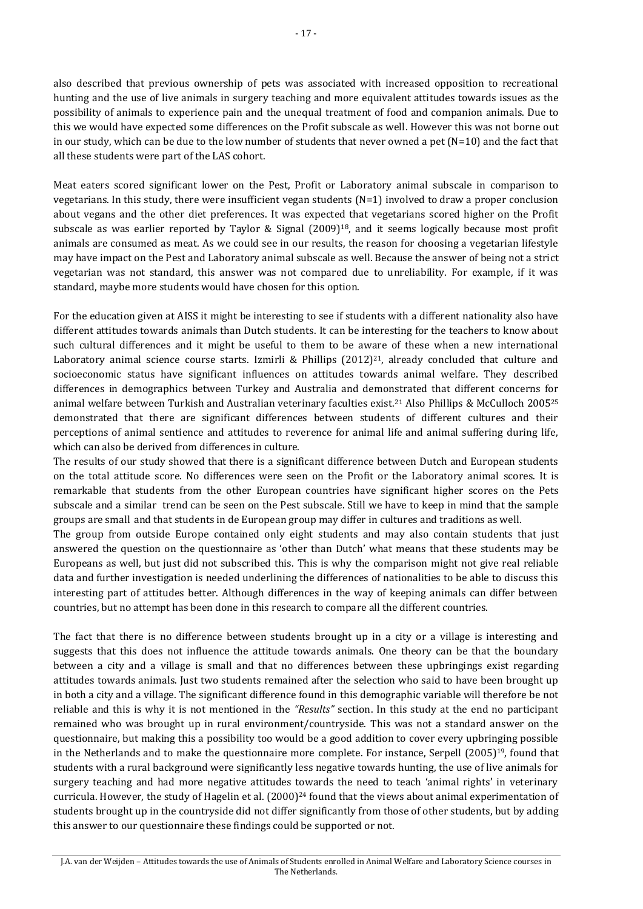also described that previous ownership of pets was associated with increased opposition to recreational hunting and the use of live animals in surgery teaching and more equivalent attitudes towards issues as the possibility of animals to experience pain and the unequal treatment of food and companion animals. Due to this we would have expected some differences on the Profit subscale as well. However this was not borne out in our study, which can be due to the low number of students that never owned a pet  $(N=10)$  and the fact that all these students were part of the LAS cohort.

Meat eaters scored significant lower on the Pest, Profit or Laboratory animal subscale in comparison to vegetarians. In this study, there were insufficient vegan students (N=1) involved to draw a proper conclusion about vegans and the other diet preferences. It was expected that vegetarians scored higher on the Profit subscale as was earlier reported by Taylor & Signal (2009) <sup>18</sup>, and it seems logically because most profit animals are consumed as meat. As we could see in our results, the reason for choosing a vegetarian lifestyle may have impact on the Pest and Laboratory animal subscale as well. Because the answer of being not a strict vegetarian was not standard, this answer was not compared due to unreliability. For example, if it was standard, maybe more students would have chosen for this option.

For the education given at AISS it might be interesting to see if students with a different nationality also have different attitudes towards animals than Dutch students. It can be interesting for the teachers to know about such cultural differences and it might be useful to them to be aware of these when a new international Laboratory animal science course starts. Izmirli & Phillips  $(2012)^{21}$ , already concluded that culture and socioeconomic status have significant influences on attitudes towards animal welfare. They described differences in demographics between Turkey and Australia and demonstrated that different concerns for animal welfare between Turkish and Australian veterinary faculties exist.<sup>21</sup> Also Phillips & McCulloch 2005<sup>25</sup> demonstrated that there are significant differences between students of different cultures and their perceptions of animal sentience and attitudes to reverence for animal life and animal suffering during life, which can also be derived from differences in culture.

The results of our study showed that there is a significant difference between Dutch and European students on the total attitude score. No differences were seen on the Profit or the Laboratory animal scores. It is remarkable that students from the other European countries have significant higher scores on the Pets subscale and a similar trend can be seen on the Pest subscale. Still we have to keep in mind that the sample groups are small and that students in de European group may differ in cultures and traditions as well.

The group from outside Europe contained only eight students and may also contain students that just answered the question on the questionnaire as 'other than Dutch' what means that these students may be Europeans as well, but just did not subscribed this. This is why the comparison might not give real reliable data and further investigation is needed underlining the differences of nationalities to be able to discuss this interesting part of attitudes better. Although differences in the way of keeping animals can differ between countries, but no attempt has been done in this research to compare all the different countries.

The fact that there is no difference between students brought up in a city or a village is interesting and suggests that this does not influence the attitude towards animals. One theory can be that the boundary between a city and a village is small and that no differences between these upbringings exist regarding attitudes towards animals. Just two students remained after the selection who said to have been brought up in both a city and a village. The significant difference found in this demographic variable will therefore be not reliable and this is why it is not mentioned in the *"Results"* section. In this study at the end no participant remained who was brought up in rural environment/countryside. This was not a standard answer on the questionnaire, but making this a possibility too would be a good addition to cover every upbringing possible in the Netherlands and to make the questionnaire more complete. For instance, Serpell (2005) <sup>19</sup>, found that students with a rural background were significantly less negative towards hunting, the use of live animals for surgery teaching and had more negative attitudes towards the need to teach 'animal rights' in veterinary curricula. However, the study of Hagelin et al. (2000) <sup>24</sup> found that the views about animal experimentation of students brought up in the countryside did not differ significantly from those of other students, but by adding this answer to our questionnaire these findings could be supported or not.

J.A. van der Weijden – Attitudes towards the use of Animals of Students enrolled in Animal Welfare and Laboratory Science courses in The Netherlands.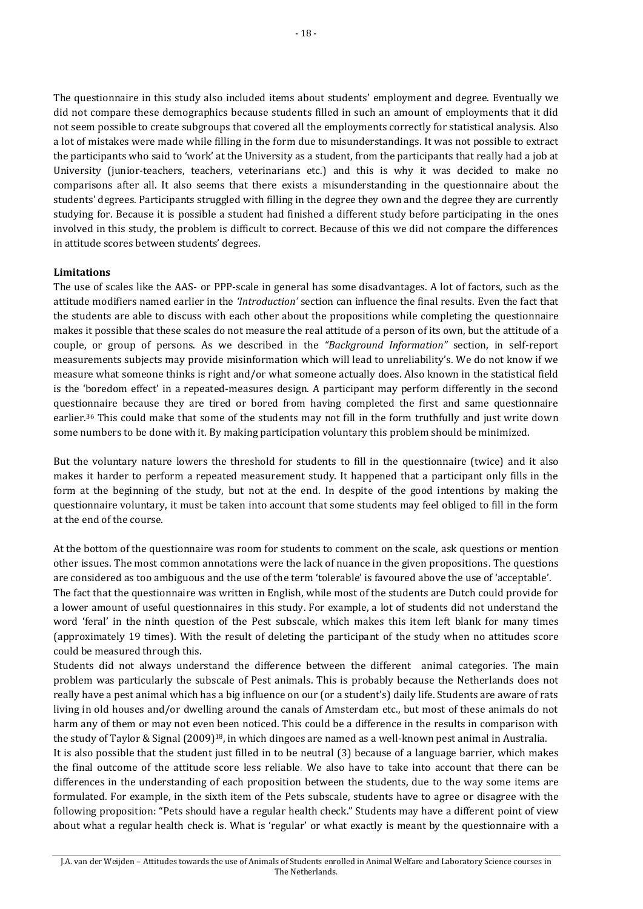The questionnaire in this study also included items about students' employment and degree. Eventually we did not compare these demographics because students filled in such an amount of employments that it did not seem possible to create subgroups that covered all the employments correctly for statistical analysis. Also a lot of mistakes were made while filling in the form due to misunderstandings. It was not possible to extract the participants who said to 'work' at the University as a student, from the participants that really had a job at University (junior-teachers, teachers, veterinarians etc.) and this is why it was decided to make no comparisons after all. It also seems that there exists a misunderstanding in the questionnaire about the students' degrees. Participants struggled with filling in the degree they own and the degree they are currently studying for. Because it is possible a student had finished a different study before participating in the ones involved in this study, the problem is difficult to correct. Because of this we did not compare the differences in attitude scores between students' degrees.

#### **Limitations**

The use of scales like the AAS- or PPP-scale in general has some disadvantages. A lot of factors, such as the attitude modifiers named earlier in the *'Introduction'* section can influence the final results. Even the fact that the students are able to discuss with each other about the propositions while completing the questionnaire makes it possible that these scales do not measure the real attitude of a person of its own, but the attitude of a couple, or group of persons. As we described in the *"Background Information"* section, in self-report measurements subjects may provide misinformation which will lead to unreliability's. We do not know if we measure what someone thinks is right and/or what someone actually does. Also known in the statistical field is the 'boredom effect' in a repeated-measures design. A participant may perform differently in the second questionnaire because they are tired or bored from having completed the first and same questionnaire earlier.<sup>36</sup> This could make that some of the students may not fill in the form truthfully and just write down some numbers to be done with it. By making participation voluntary this problem should be minimized.

But the voluntary nature lowers the threshold for students to fill in the questionnaire (twice) and it also makes it harder to perform a repeated measurement study. It happened that a participant only fills in the form at the beginning of the study, but not at the end. In despite of the good intentions by making the questionnaire voluntary, it must be taken into account that some students may feel obliged to fill in the form at the end of the course.

At the bottom of the questionnaire was room for students to comment on the scale, ask questions or mention other issues. The most common annotations were the lack of nuance in the given propositions. The questions are considered as too ambiguous and the use of the term 'tolerable' is favoured above the use of 'acceptable'. The fact that the questionnaire was written in English, while most of the students are Dutch could provide for a lower amount of useful questionnaires in this study. For example, a lot of students did not understand the word 'feral' in the ninth question of the Pest subscale, which makes this item left blank for many times (approximately 19 times). With the result of deleting the participant of the study when no attitudes score could be measured through this.

Students did not always understand the difference between the different animal categories. The main problem was particularly the subscale of Pest animals. This is probably because the Netherlands does not really have a pest animal which has a big influence on our (or a student's) daily life. Students are aware of rats living in old houses and/or dwelling around the canals of Amsterdam etc., but most of these animals do not harm any of them or may not even been noticed. This could be a difference in the results in comparison with the study of Taylor & Signal (2009)<sup>18</sup>, in which dingoes are named as a well-known pest animal in Australia.

It is also possible that the student just filled in to be neutral (3) because of a language barrier, which makes the final outcome of the attitude score less reliable. We also have to take into account that there can be differences in the understanding of each proposition between the students, due to the way some items are formulated. For example, in the sixth item of the Pets subscale, students have to agree or disagree with the following proposition: "Pets should have a regular health check." Students may have a different point of view about what a regular health check is. What is 'regular' or what exactly is meant by the questionnaire with a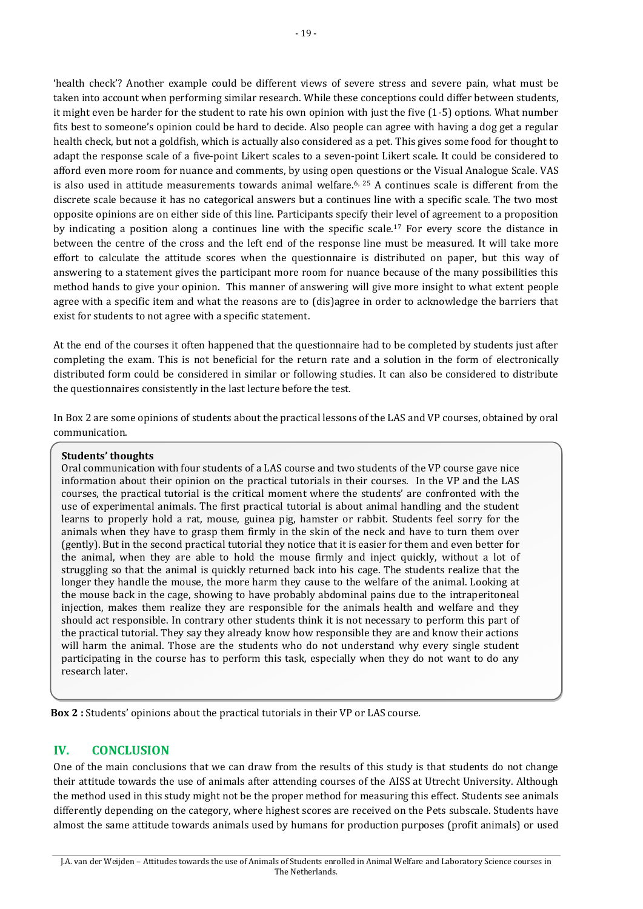'health check'? Another example could be different views of severe stress and severe pain, what must be taken into account when performing similar research. While these conceptions could differ between students, it might even be harder for the student to rate his own opinion with just the five (1-5) options. What number fits best to someone's opinion could be hard to decide. Also people can agree with having a dog get a regular health check, but not a goldfish, which is actually also considered as a pet. This gives some food for thought to adapt the response scale of a five-point Likert scales to a seven-point Likert scale. It could be considered to afford even more room for nuance and comments, by using open questions or the Visual Analogue Scale. VAS is also used in attitude measurements towards animal welfare.<sup>6, 25</sup> A continues scale is different from the discrete scale because it has no categorical answers but a continues line with a specific scale. The two most opposite opinions are on either side of this line. Participants specify their level of agreement to a proposition by indicating a position along a continues line with the specific scale.<sup>17</sup> For every score the distance in between the centre of the cross and the left end of the response line must be measured. It will take more effort to calculate the attitude scores when the questionnaire is distributed on paper, but this way of answering to a statement gives the participant more room for nuance because of the many possibilities this method hands to give your opinion. This manner of answering will give more insight to what extent people agree with a specific item and what the reasons are to (dis)agree in order to acknowledge the barriers that exist for students to not agree with a specific statement.

At the end of the courses it often happened that the questionnaire had to be completed by students just after completing the exam. This is not beneficial for the return rate and a solution in the form of electronically distributed form could be considered in similar or following studies. It can also be considered to distribute the questionnaires consistently in the last lecture before the test.

In Box 2 are some opinions of students about the practical lessons of the LAS and VP courses, obtained by oral communication.

#### **Students' thoughts**

Oral communication with four students of a LAS course and two students of the VP course gave nice information about their opinion on the practical tutorials in their courses. In the VP and the LAS courses, the practical tutorial is the critical moment where the students' are confronted with the use of experimental animals. The first practical tutorial is about animal handling and the student learns to properly hold a rat, mouse, guinea pig, hamster or rabbit. Students feel sorry for the animals when they have to grasp them firmly in the skin of the neck and have to turn them over (gently). But in the second practical tutorial they notice that it is easier for them and even better for the animal, when they are able to hold the mouse firmly and inject quickly, without a lot of struggling so that the animal is quickly returned back into his cage. The students realize that the longer they handle the mouse, the more harm they cause to the welfare of the animal. Looking at the mouse back in the cage, showing to have probably abdominal pains due to the intraperitoneal injection, makes them realize they are responsible for the animals health and welfare and they should act responsible. In contrary other students think it is not necessary to perform this part of the practical tutorial. They say they already know how responsible they are and know their actions will harm the animal. Those are the students who do not understand why every single student participating in the course has to perform this task, especially when they do not want to do any research later.

**Box 2 :** Students' opinions about the practical tutorials in their VP or LAS course.

### **IV. CONCLUSION**

One of the main conclusions that we can draw from the results of this study is that students do not change their attitude towards the use of animals after attending courses of the AISS at Utrecht University. Although the method used in this study might not be the proper method for measuring this effect. Students see animals differently depending on the category, where highest scores are received on the Pets subscale. Students have almost the same attitude towards animals used by humans for production purposes (profit animals) or used

J.A. van der Weijden – Attitudes towards the use of Animals of Students enrolled in Animal Welfare and Laboratory Science courses in The Netherlands.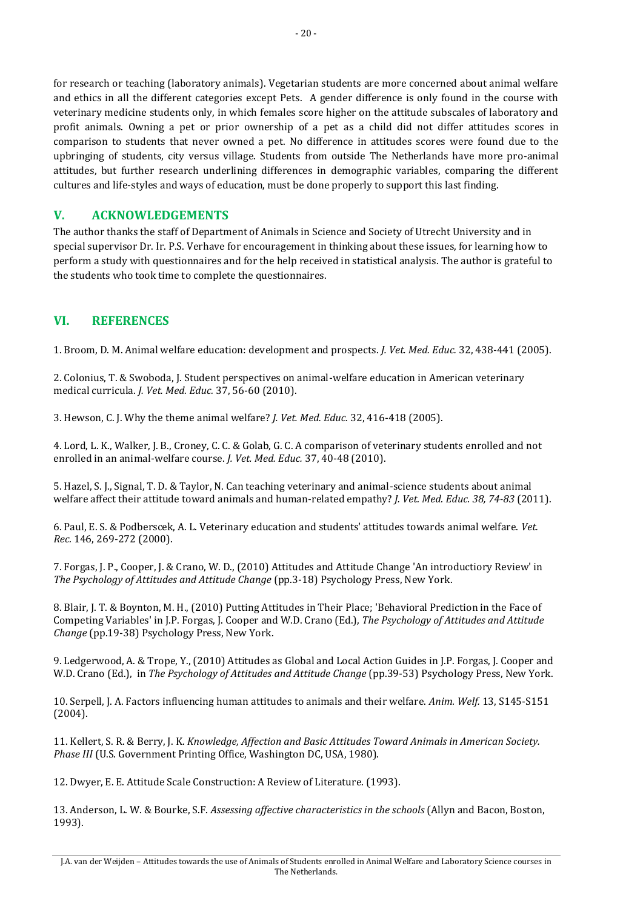for research or teaching (laboratory animals). Vegetarian students are more concerned about animal welfare and ethics in all the different categories except Pets. A gender difference is only found in the course with veterinary medicine students only, in which females score higher on the attitude subscales of laboratory and profit animals. Owning a pet or prior ownership of a pet as a child did not differ attitudes scores in comparison to students that never owned a pet. No difference in attitudes scores were found due to the upbringing of students, city versus village. Students from outside The Netherlands have more pro-animal attitudes, but further research underlining differences in demographic variables, comparing the different cultures and life-styles and ways of education, must be done properly to support this last finding.

## **V. ACKNOWLEDGEMENTS**

The author thanks the staff of Department of Animals in Science and Society of Utrecht University and in special supervisor Dr. Ir. P.S. Verhave for encouragement in thinking about these issues, for learning how to perform a study with questionnaires and for the help received in statistical analysis. The author is grateful to the students who took time to complete the questionnaires.

## **VI. REFERENCES**

1. Broom, D. M. Animal welfare education: development and prospects. *J. Vet. Med. Educ.* 32, 438-441 (2005).

2. Colonius, T. & Swoboda, J. Student perspectives on animal-welfare education in American veterinary medical curricula. *J. Vet. Med. Educ.* 37, 56-60 (2010).

3. Hewson, C. J. Why the theme animal welfare? *J. Vet. Med. Educ.* 32, 416-418 (2005).

4. Lord, L. K., Walker, J. B., Croney, C. C. & Golab, G. C. A comparison of veterinary students enrolled and not enrolled in an animal-welfare course. *J. Vet. Med. Educ.* 37, 40-48 (2010).

5. Hazel, S. J., Signal, T. D. & Taylor, N. Can teaching veterinary and animal-science students about animal welfare affect their attitude toward animals and human-related empathy? *J. Vet. Med. Educ. 38, 74-83* (2011).

6. Paul, E. S. & Podberscek, A. L. Veterinary education and students' attitudes towards animal welfare. *Vet. Rec.* 146, 269-272 (2000).

7. Forgas, J. P., Cooper, J. & Crano, W. D., (2010) Attitudes and Attitude Change 'An introductiory Review' in *The Psychology of Attitudes and Attitude Change* (pp.3-18) Psychology Press, New York.

8. Blair, J. T. & Boynton, M. H., (2010) Putting Attitudes in Their Place; 'Behavioral Prediction in the Face of Competing Variables' in J.P. Forgas, J. Cooper and W.D. Crano (Ed.), *The Psychology of Attitudes and Attitude Change* (pp.19-38) Psychology Press, New York.

9. Ledgerwood, A. & Trope, Y., (2010) Attitudes as Global and Local Action Guides in J.P. Forgas, J. Cooper and W.D. Crano (Ed.), in *The Psychology of Attitudes and Attitude Change* (pp.39-53) Psychology Press, New York.

10. Serpell, J. A. Factors influencing human attitudes to animals and their welfare. *Anim. Welf.* 13, S145-S151 (2004).

11. Kellert, S. R. & Berry, J. K. *Knowledge, Affection and Basic Attitudes Toward Animals in American Society. Phase III* (U.S. Government Printing Office, Washington DC, USA, 1980).

12. Dwyer, E. E. Attitude Scale Construction: A Review of Literature. (1993).

13. Anderson, L. W. & Bourke, S.F. *Assessing affective characteristics in the schools* (Allyn and Bacon, Boston, 1993).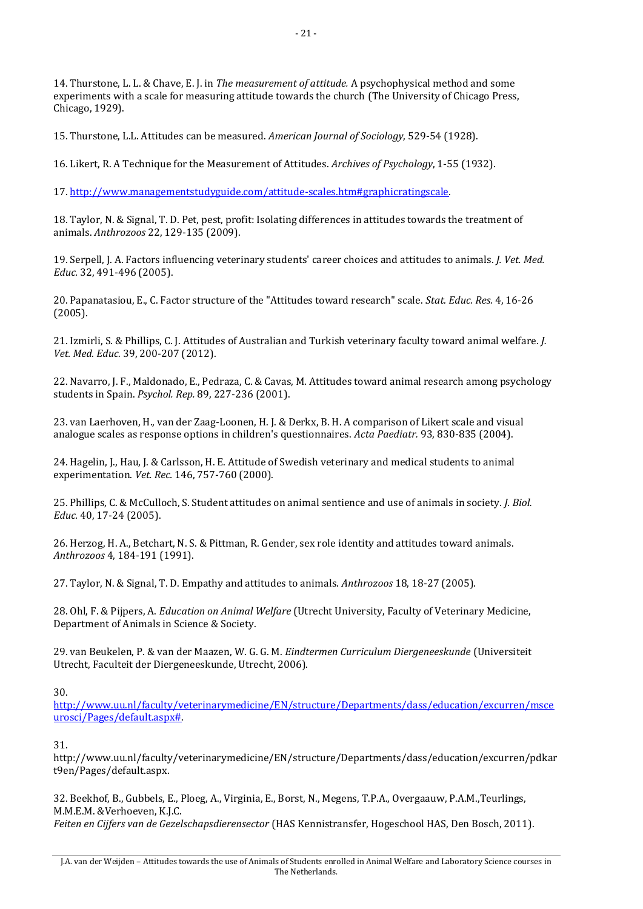14. Thurstone, L. L. & Chave, E. J. in *The measurement of attitude.* A psychophysical method and some experiments with a scale for measuring attitude towards the church (The University of Chicago Press, Chicago, 1929).

15. Thurstone, L.L. Attitudes can be measured. *American Journal of Sociology*, 529-54 (1928).

16. Likert, R. A Technique for the Measurement of Attitudes. *Archives of Psychology*, 1-55 (1932).

17. [http://www.managementstudyguide.com/attitude-scales.htm#graphicratingscale.](http://www.managementstudyguide.com/attitude-scales.htm#graphicratingscale) 

18. Taylor, N. & Signal, T. D. Pet, pest, profit: Isolating differences in attitudes towards the treatment of animals. *Anthrozoos* 22, 129-135 (2009).

19. Serpell, J. A. Factors influencing veterinary students' career choices and attitudes to animals. *J. Vet. Med. Educ.* 32, 491-496 (2005).

20. Papanatasiou, E., C. Factor structure of the "Attitudes toward research" scale. *Stat. Educ. Res.* 4, 16-26 (2005).

21. Izmirli, S. & Phillips, C. J. Attitudes of Australian and Turkish veterinary faculty toward animal welfare. *J. Vet. Med. Educ.* 39, 200-207 (2012).

22. Navarro, J. F., Maldonado, E., Pedraza, C. & Cavas, M. Attitudes toward animal research among psychology students in Spain. *Psychol. Rep.* 89, 227-236 (2001).

23. van Laerhoven, H., van der Zaag-Loonen, H. J. & Derkx, B. H. A comparison of Likert scale and visual analogue scales as response options in children's questionnaires. *Acta Paediatr.* 93, 830-835 (2004).

24. Hagelin, J., Hau, J. & Carlsson, H. E. Attitude of Swedish veterinary and medical students to animal experimentation. *Vet. Rec.* 146, 757-760 (2000).

25. Phillips, C. & McCulloch, S. Student attitudes on animal sentience and use of animals in society. *J. Biol. Educ.* 40, 17-24 (2005).

26. Herzog, H. A., Betchart, N. S. & Pittman, R. Gender, sex role identity and attitudes toward animals. *Anthrozoos* 4, 184-191 (1991).

27. Taylor, N. & Signal, T. D. Empathy and attitudes to animals. *Anthrozoos* 18, 18-27 (2005).

28. Ohl, F. & Pijpers, A. *Education on Animal Welfare* (Utrecht University, Faculty of Veterinary Medicine, Department of Animals in Science & Society.

29. van Beukelen, P. & van der Maazen, W. G. G. M. *Eindtermen Curriculum Diergeneeskunde* (Universiteit Utrecht, Faculteit der Diergeneeskunde, Utrecht, 2006).

30.

[http://www.uu.nl/faculty/veterinarymedicine/EN/structure/Departments/dass/education/excurren/msce](http://www.uu.nl/faculty/veterinarymedicine/EN/structure/Departments/dass/education/excurren/msceurosci/Pages/default.aspx) [urosci/Pages/default.aspx#.](http://www.uu.nl/faculty/veterinarymedicine/EN/structure/Departments/dass/education/excurren/msceurosci/Pages/default.aspx) 

31.

http://www.uu.nl/faculty/veterinarymedicine/EN/structure/Departments/dass/education/excurren/pdkar t9en/Pages/default.aspx.

32. Beekhof, B., Gubbels, E., Ploeg, A., Virginia, E., Borst, N., Megens, T.P.A., Overgaauw, P.A.M.,Teurlings, M.M.E.M. &Verhoeven, K.J.C. *Feiten en Cijfers van de Gezelschapsdierensector* (HAS Kennistransfer, Hogeschool HAS, Den Bosch, 2011).